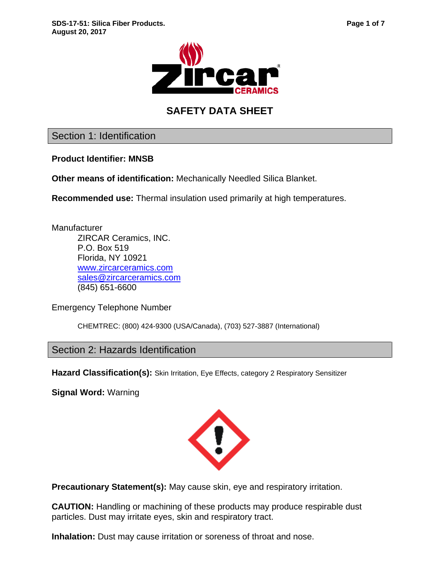



# **SAFETY DATA SHEET**

Section 1: Identification

**Product Identifier: MNSB**

**Other means of identification:** Mechanically Needled Silica Blanket.

**Recommended use:** Thermal insulation used primarily at high temperatures.

**Manufacturer** ZIRCAR Ceramics, INC. P.O. Box 519 Florida, NY 10921 [www.zircarceramics.com](http://www.zircarceramics.com/) [sales@zircarceramics.com](mailto:sales@zircarceramics.com) (845) 651-6600

Emergency Telephone Number

CHEMTREC: (800) 424-9300 (USA/Canada), (703) 527-3887 (International)

Section 2: Hazards Identification

Hazard Classification(s): Skin Irritation, Eye Effects, category 2 Respiratory Sensitizer

**Signal Word:** Warning



**Precautionary Statement(s):** May cause skin, eye and respiratory irritation.

**CAUTION:** Handling or machining of these products may produce respirable dust particles. Dust may irritate eyes, skin and respiratory tract.

**Inhalation:** Dust may cause irritation or soreness of throat and nose.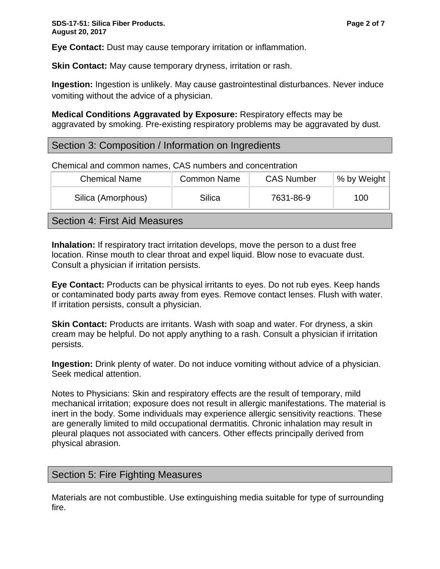**Eye Contact:** Dust may cause temporary irritation or inflammation.

**Skin Contact:** May cause temporary dryness, irritation or rash.

**Ingestion:** Ingestion is unlikely. May cause gastrointestinal disturbances. Never induce vomiting without the advice of a physician.

**Medical Conditions Aggravated by Exposure:** Respiratory effects may be aggravated by smoking. Pre-existing respiratory problems may be aggravated by dust.

## Section 3: Composition / Information on Ingredients

Chemical and common names, CAS numbers and concentration

| <b>Chemical Name</b> | <b>Common Name</b> | <b>CAS Number</b> | % by Weight |
|----------------------|--------------------|-------------------|-------------|
| Silica (Amorphous)   | Silica             | 7631-86-9         | 100         |
|                      |                    |                   |             |

Section 4: First Aid Measures

**Inhalation:** If respiratory tract irritation develops, move the person to a dust free location. Rinse mouth to clear throat and expel liquid. Blow nose to evacuate dust. Consult a physician if irritation persists.

**Eye Contact:** Products can be physical irritants to eyes. Do not rub eyes. Keep hands or contaminated body parts away from eyes. Remove contact lenses. Flush with water. If irritation persists, consult a physician.

**Skin Contact:** Products are irritants. Wash with soap and water. For dryness, a skin cream may be helpful. Do not apply anything to a rash. Consult a physician if irritation persists.

**Ingestion:** Drink plenty of water. Do not induce vomiting without advice of a physician. Seek medical attention.

Notes to Physicians: Skin and respiratory effects are the result of temporary, mild mechanical irritation; exposure does not result in allergic manifestations. The material is inert in the body. Some individuals may experience allergic sensitivity reactions. These are generally limited to mild occupational dermatitis. Chronic inhalation may result in pleural plaques not associated with cancers. Other effects principally derived from physical abrasion.

## Section 5: Fire Fighting Measures

Materials are not combustible. Use extinguishing media suitable for type of surrounding fire.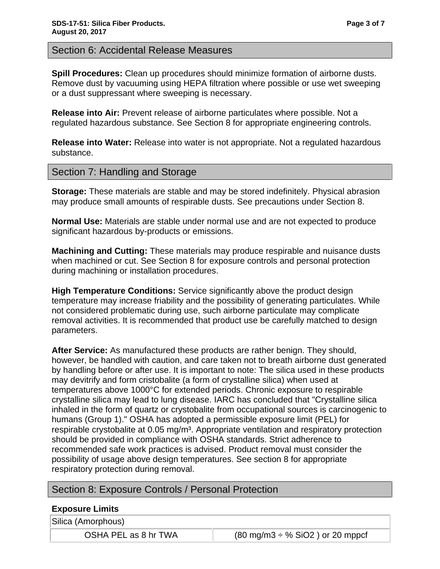**Spill Procedures:** Clean up procedures should minimize formation of airborne dusts. Remove dust by vacuuming using HEPA filtration where possible or use wet sweeping or a dust suppressant where sweeping is necessary.

**Release into Air:** Prevent release of airborne particulates where possible. Not a regulated hazardous substance. See Section 8 for appropriate engineering controls.

**Release into Water:** Release into water is not appropriate. Not a regulated hazardous substance.

# Section 7: Handling and Storage

**Storage:** These materials are stable and may be stored indefinitely. Physical abrasion may produce small amounts of respirable dusts. See precautions under Section 8.

**Normal Use:** Materials are stable under normal use and are not expected to produce significant hazardous by-products or emissions.

**Machining and Cutting:** These materials may produce respirable and nuisance dusts when machined or cut. See Section 8 for exposure controls and personal protection during machining or installation procedures.

**High Temperature Conditions:** Service significantly above the product design temperature may increase friability and the possibility of generating particulates. While not considered problematic during use, such airborne particulate may complicate removal activities. It is recommended that product use be carefully matched to design parameters.

**After Service:** As manufactured these products are rather benign. They should, however, be handled with caution, and care taken not to breath airborne dust generated by handling before or after use. It is important to note: The silica used in these products may devitrify and form cristobalite (a form of crystalline silica) when used at temperatures above 1000°C for extended periods. Chronic exposure to respirable crystalline silica may lead to lung disease. IARC has concluded that "Crystalline silica inhaled in the form of quartz or crystobalite from occupational sources is carcinogenic to humans (Group 1)." OSHA has adopted a permissible exposure limit (PEL) for respirable crystobalite at 0.05 mg/m<sup>3</sup>. Appropriate ventilation and respiratory protection should be provided in compliance with OSHA standards. Strict adherence to recommended safe work practices is advised. Product removal must consider the possibility of usage above design temperatures. See section 8 for appropriate respiratory protection during removal.

# Section 8: Exposure Controls / Personal Protection

## **Exposure Limits**

Silica (Amorphous)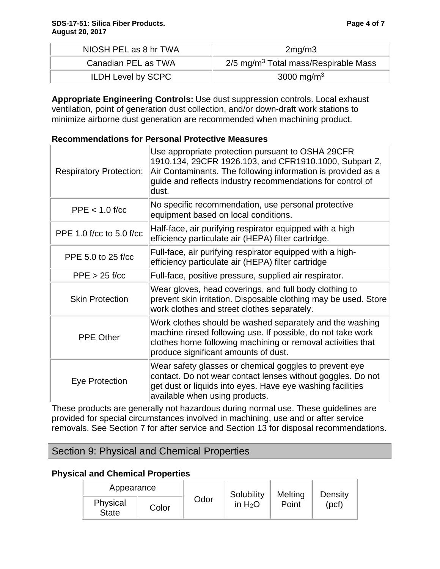| NIOSH PEL as 8 hr TWA     | 2mg/m3                                             |  |
|---------------------------|----------------------------------------------------|--|
| Canadian PEL as TWA       | $2/5$ mg/m <sup>3</sup> Total mass/Respirable Mass |  |
| <b>ILDH Level by SCPC</b> | 3000 mg/m <sup>3</sup>                             |  |

**Appropriate Engineering Controls:** Use dust suppression controls. Local exhaust ventilation, point of generation dust collection, and/or down-draft work stations to minimize airborne dust generation are recommended when machining product.

#### **Recommendations for Personal Protective Measures**

| <b>Respiratory Protection:</b> | Use appropriate protection pursuant to OSHA 29CFR<br>1910.134, 29CFR 1926.103, and CFR1910.1000, Subpart Z,<br>Air Contaminants. The following information is provided as a<br>guide and reflects industry recommendations for control of<br>dust. |
|--------------------------------|----------------------------------------------------------------------------------------------------------------------------------------------------------------------------------------------------------------------------------------------------|
| $PPE < 1.0$ f/cc               | No specific recommendation, use personal protective<br>equipment based on local conditions.                                                                                                                                                        |
| PPE 1.0 f/cc to 5.0 f/cc       | Half-face, air purifying respirator equipped with a high<br>efficiency particulate air (HEPA) filter cartridge.                                                                                                                                    |
| PPE 5.0 to 25 f/cc             | Full-face, air purifying respirator equipped with a high-<br>efficiency particulate air (HEPA) filter cartridge                                                                                                                                    |
| $PPE > 25$ f/cc                | Full-face, positive pressure, supplied air respirator.                                                                                                                                                                                             |
| <b>Skin Protection</b>         | Wear gloves, head coverings, and full body clothing to<br>prevent skin irritation. Disposable clothing may be used. Store<br>work clothes and street clothes separately.                                                                           |
| <b>PPE Other</b>               | Work clothes should be washed separately and the washing<br>machine rinsed following use. If possible, do not take work<br>clothes home following machining or removal activities that<br>produce significant amounts of dust.                     |
| Eye Protection                 | Wear safety glasses or chemical goggles to prevent eye<br>contact. Do not wear contact lenses without goggles. Do not<br>get dust or liquids into eyes. Have eye washing facilities<br>available when using products.                              |

These products are generally not hazardous during normal use. These guidelines are provided for special circumstances involved in machining, use and or after service removals. See Section 7 for after service and Section 13 for disposal recommendations.

# Section 9: Physical and Chemical Properties

#### **Physical and Chemical Properties**

| Appearance               |       |      | Solubility | Melting | Density |
|--------------------------|-------|------|------------|---------|---------|
| Physical<br><b>State</b> | Color | Odor | in $H_2O$  | Point   | (pcf)   |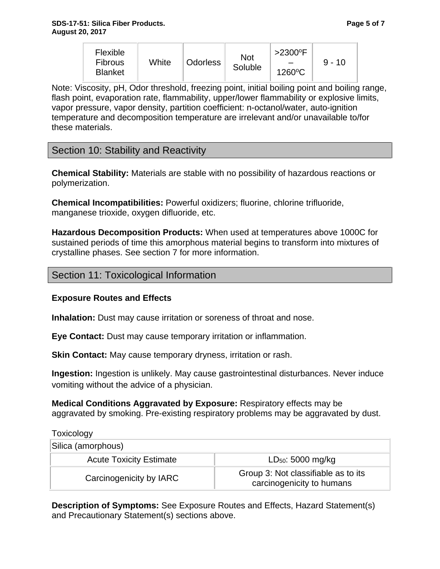| <b>Flexible</b><br><b>Fibrous</b><br><b>Blanket</b> | White | <b>Odorless</b> | Not<br>Soluble | $>2300$ <sup>o</sup> F<br>1260°C | $9 - 10$ |
|-----------------------------------------------------|-------|-----------------|----------------|----------------------------------|----------|
|-----------------------------------------------------|-------|-----------------|----------------|----------------------------------|----------|

Note: Viscosity, pH, Odor threshold, freezing point, initial boiling point and boiling range, flash point, evaporation rate, flammability, upper/lower flammability or explosive limits, vapor pressure, vapor density, partition coefficient: n-octanol/water, auto-ignition temperature and decomposition temperature are irrelevant and/or unavailable to/for these materials.

## Section 10: Stability and Reactivity

**Chemical Stability:** Materials are stable with no possibility of hazardous reactions or polymerization.

**Chemical Incompatibilities:** Powerful oxidizers; fluorine, chlorine trifluoride, manganese trioxide, oxygen difluoride, etc.

**Hazardous Decomposition Products:** When used at temperatures above 1000C for sustained periods of time this amorphous material begins to transform into mixtures of crystalline phases. See section 7 for more information.

## Section 11: Toxicological Information

#### **Exposure Routes and Effects**

**Inhalation:** Dust may cause irritation or soreness of throat and nose.

**Eye Contact:** Dust may cause temporary irritation or inflammation.

**Skin Contact:** May cause temporary dryness, irritation or rash.

**Ingestion:** Ingestion is unlikely. May cause gastrointestinal disturbances. Never induce vomiting without the advice of a physician.

**Medical Conditions Aggravated by Exposure:** Respiratory effects may be aggravated by smoking. Pre-existing respiratory problems may be aggravated by dust.

**Toxicology** Silica (amorphous) Acute Toxicity Estimate **LED50:** 5000 mg/kg Carcinogenicity by IARC Group 3: Not classifiable as to its carcinogenicity to humans

**Description of Symptoms:** See Exposure Routes and Effects, Hazard Statement(s) and Precautionary Statement(s) sections above.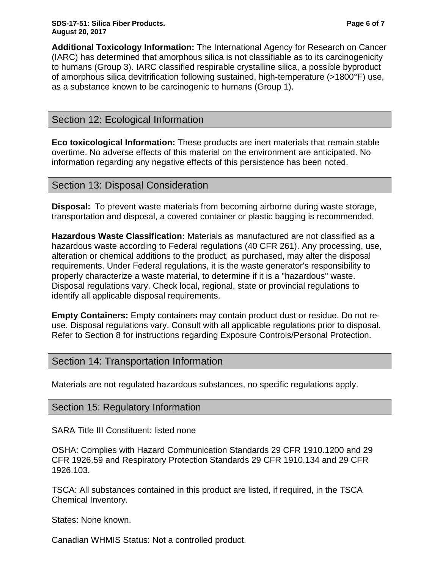**Additional Toxicology Information:** The International Agency for Research on Cancer (IARC) has determined that amorphous silica is not classifiable as to its carcinogenicity to humans (Group 3). IARC classified respirable crystalline silica, a possible byproduct of amorphous silica devitrification following sustained, high-temperature (>1800°F) use, as a substance known to be carcinogenic to humans (Group 1).

# Section 12: Ecological Information

**Eco toxicological Information:** These products are inert materials that remain stable overtime. No adverse effects of this material on the environment are anticipated. No information regarding any negative effects of this persistence has been noted.

## Section 13: Disposal Consideration

**Disposal:** To prevent waste materials from becoming airborne during waste storage, transportation and disposal, a covered container or plastic bagging is recommended.

**Hazardous Waste Classification:** Materials as manufactured are not classified as a hazardous waste according to Federal regulations (40 CFR 261). Any processing, use, alteration or chemical additions to the product, as purchased, may alter the disposal requirements. Under Federal regulations, it is the waste generator's responsibility to properly characterize a waste material, to determine if it is a "hazardous" waste. Disposal regulations vary. Check local, regional, state or provincial regulations to identify all applicable disposal requirements.

**Empty Containers:** Empty containers may contain product dust or residue. Do not reuse. Disposal regulations vary. Consult with all applicable regulations prior to disposal. Refer to Section 8 for instructions regarding Exposure Controls/Personal Protection.

## Section 14: Transportation Information

Materials are not regulated hazardous substances, no specific regulations apply.

#### Section 15: Regulatory Information

SARA Title III Constituent: listed none

OSHA: Complies with Hazard Communication Standards 29 CFR 1910.1200 and 29 CFR 1926.59 and Respiratory Protection Standards 29 CFR 1910.134 and 29 CFR 1926.103.

TSCA: All substances contained in this product are listed, if required, in the TSCA Chemical Inventory.

States: None known.

Canadian WHMIS Status: Not a controlled product.